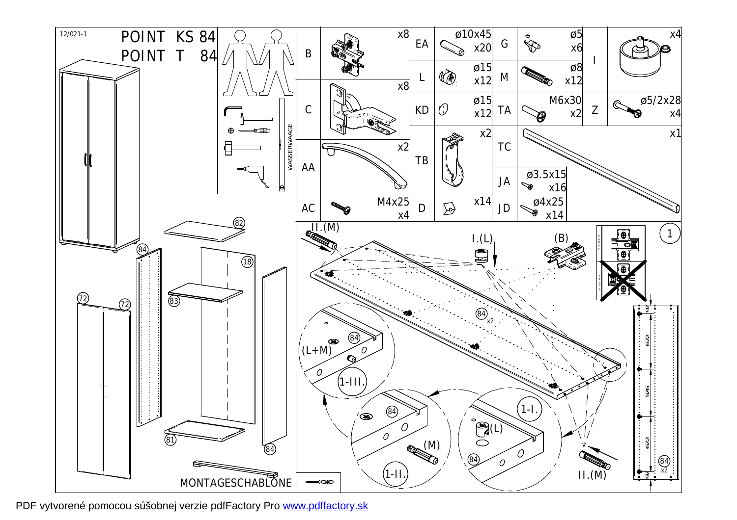

PDF vytvorené pomocou súšobnej verzie pdfFactory Pro [www.pdffactory.sk](http://www.pdffactory.sk)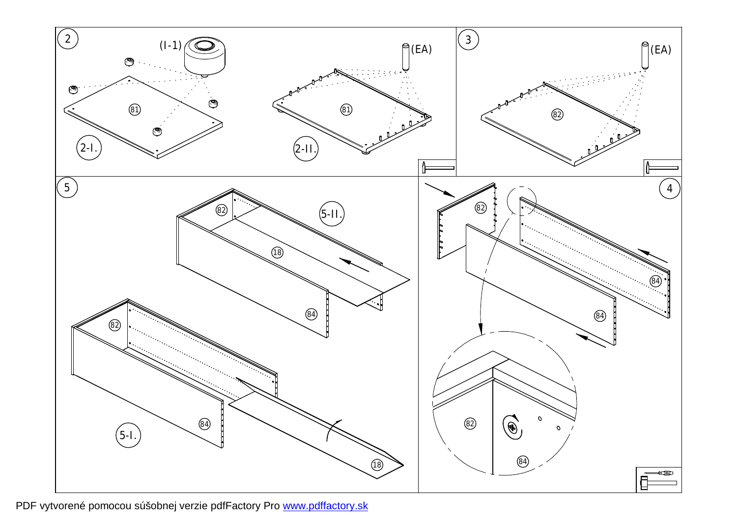

PDF vytvorené pomocou súšobnej verzie pdfFactory Pro [www.pdffactory.sk](http://www.pdffactory.sk)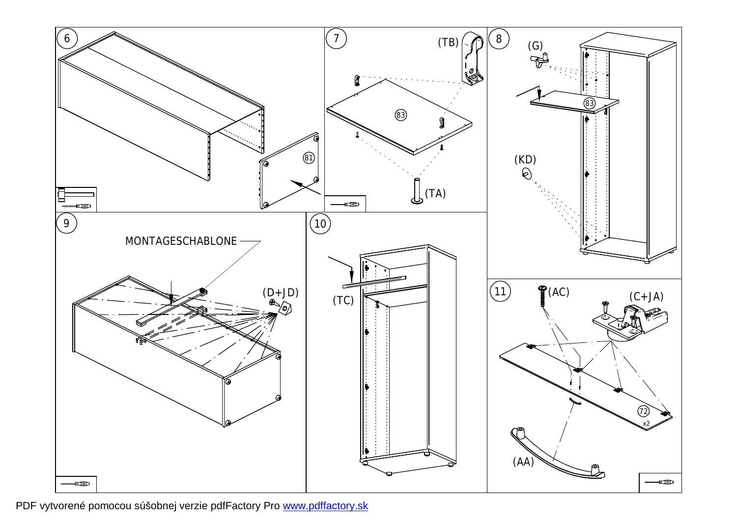

PDF vytvorené pomocou súšobnej verzie pdfFactory Pro [www.pdffactory.sk](http://www.pdffactory.sk)